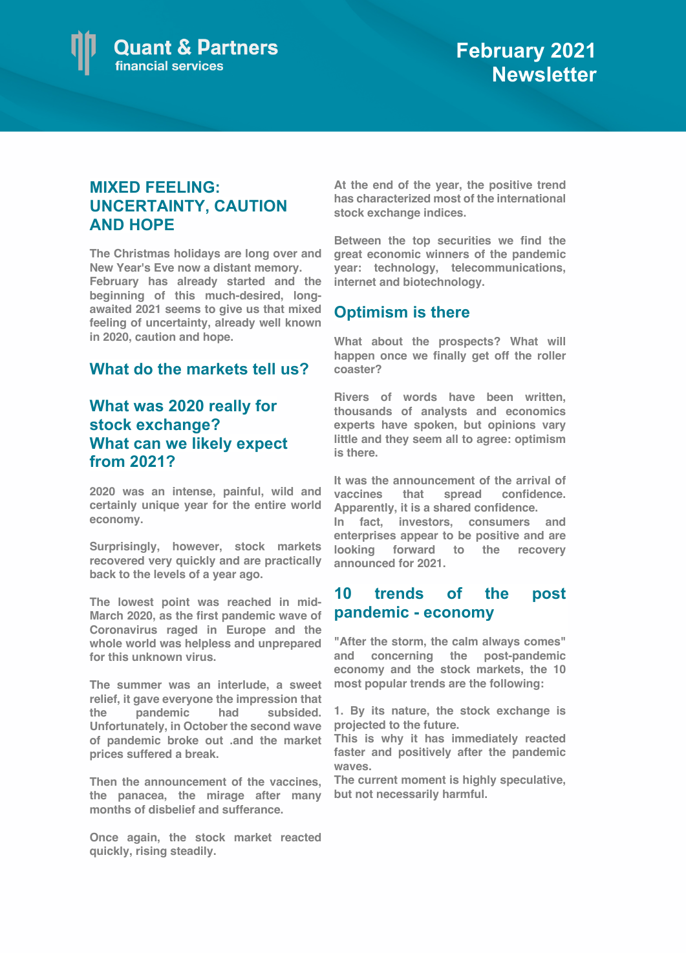

## **MIXED FEELING: UNCERTAINTY, CAUTION AND HOPE**

**The Christmas holidays are long over and New Year's Eve now a distant memory. February has already started and the beginning of this much-desired, longawaited 2021 seems to give us that mixed feeling of uncertainty, already well known in 2020, caution and hope.** 

## **What do the markets tell us?**

# **What was 2020 really for stock exchange? What can we likely expect from 2021?**

**2020 was an intense, painful, wild and certainly unique year for the entire world economy.** 

**Surprisingly, however, stock markets recovered very quickly and are practically back to the levels of a year ago.** 

**The lowest point was reached in mid-March 2020, as the first pandemic wave of Coronavirus raged in Europe and the whole world was helpless and unprepared for this unknown virus.** 

**The summer was an interlude, a sweet relief, it gave everyone the impression that the pandemic had subsided. Unfortunately, in October the second wave of pandemic broke out .and the market prices suffered a break.** 

**Then the announcement of the vaccines, the panacea, the mirage after many months of disbelief and sufferance.** 

**Once again, the stock market reacted quickly, rising steadily.** 

**At the end of the year, the positive trend has characterized most of the international stock exchange indices.** 

**Between the top securities we find the great economic winners of the pandemic year: technology, telecommunications, internet and biotechnology.**

## **Optimism is there**

**What about the prospects? What will happen once we finally get off the roller coaster?** 

**Rivers of words have been written, thousands of analysts and economics experts have spoken, but opinions vary little and they seem all to agree: optimism is there.** 

**It was the announcement of the arrival of vaccines that spread confidence. Apparently, it is a shared confidence.** 

**In fact, investors, consumers and enterprises appear to be positive and are looking forward to the recovery announced for 2021.** 

## **10 trends of the post pandemic - economy**

**"After the storm, the calm always comes" and concerning the post-pandemic economy and the stock markets, the 10 most popular trends are the following:** 

**1. By its nature, the stock exchange is projected to the future.** 

**This is why it has immediately reacted faster and positively after the pandemic waves.** 

**The current moment is highly speculative, but not necessarily harmful.**